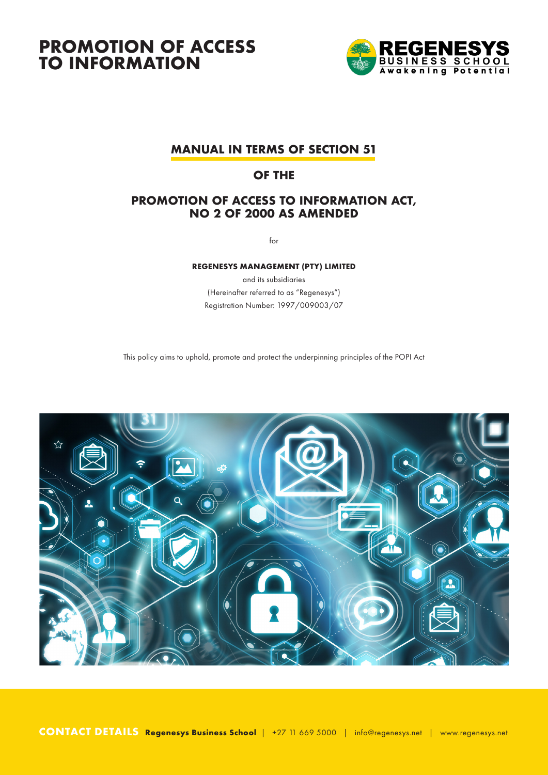

## **MANUAL IN TERMS OF SECTION 51**

## **OF THE**

### **PROMOTION OF ACCESS TO INFORMATION ACT, NO 2 OF 2000 AS AMENDED**

for

#### **REGENESYS MANAGEMENT (PTY) LIMITED**

and its subsidiaries (Hereinafter referred to as "Regenesys") Registration Number: 1997/009003/07

This policy aims to uphold, promote and protect the underpinning principles of the POPI Act

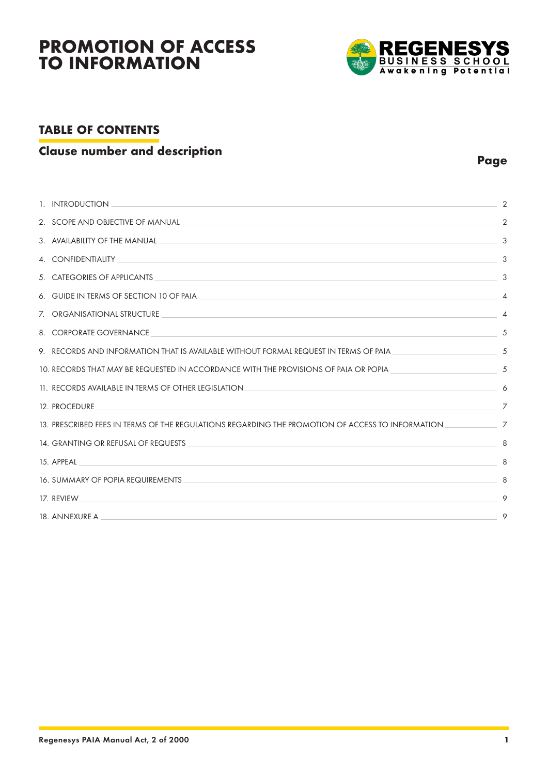

## **TABLE OF CONTENTS**

### **Clause number and description Page Page Page Page Page**

| <u> 1989 - Johann Stoff, amerikansk politiker (d. 1989)</u><br>1. INTRODUCTION                                                                             | 2              |
|------------------------------------------------------------------------------------------------------------------------------------------------------------|----------------|
| 2. SCOPE AND OBJECTIVE OF MANUAL                                                                                                                           | 2              |
| 3. AVAILABILITY OF THE MANUAL<br><u> Alexandro de la contrada de la contrada de la contrada de la contrada de la contrada de la contrada de la co</u>      | 3              |
|                                                                                                                                                            | 3              |
| 5. CATEGORIES OF APPLICANTS<br><u> 1989 - Johann Stoff, amerikansk politiker (d. 1989)</u>                                                                 | 3              |
| 6. GUIDE IN TERMS OF SECTION 10 OF PAIA AND AND ACCOMMUNICATION OF THE CONTROL OF THE CONTROL OF SECTION OF PAIA                                           | $\overline{4}$ |
| 7. ORGANISATIONAL STRUCTURE<br>and the control of the control of the control of the control of the control of the control of the control of the            | 4              |
| 8. CORPORATE GOVERNANCE<br><u> 1989 - Johann Stoff, amerikansk politiker (d. 1989)</u>                                                                     | 5              |
| 9.    RECORDS AND INFORMATION THAT IS AVAILABLE WITHOUT FORMAL REQUEST IN TERMS OF PAIA                                                                    | 5              |
| 10. RECORDS THAT MAY BE REQUESTED IN ACCORDANCE WITH THE PROVISIONS OF PAIA OR POPIA                                                                       | 5              |
| 11. RECORDS AVAILABLE IN TERMS OF OTHER LEGISLATION<br><u> 1989 - Johann Stoff, amerikansk politiker (d. 1989)</u>                                         | 6              |
| 12. PROCEDURE<br><u> 1989 - Johann Stoff, amerikansk politiker (d. 1989)</u>                                                                               | $\overline{7}$ |
| 13. PRESCRIBED FEES IN TERMS OF THE REGULATIONS REGARDING THE PROMOTION OF ACCESS TO INFORMATION <b>CONSERVATION</b>                                       | $\overline{7}$ |
| 14. GRANTING OR REFUSAL OF REQUESTS<br><u> 1989 - Johann Stoff, amerikansk politiker (d. 1989)</u>                                                         | 8              |
| 15. APPEAL<br><u> 1989 - Johann Stoff, amerikansk politiker (* 1908)</u>                                                                                   | 8              |
| <u> 1989 - Johann Stein, marwolaethau a bhann an t-Albann ann an t-Albann an t-Albann an t-Albann an t-Albann an </u><br>16. SUMMARY OF POPIA REQUIREMENTS | 8              |
| 17. REVIEW                                                                                                                                                 | 9              |
| 18. ANNEXURE A                                                                                                                                             | 9              |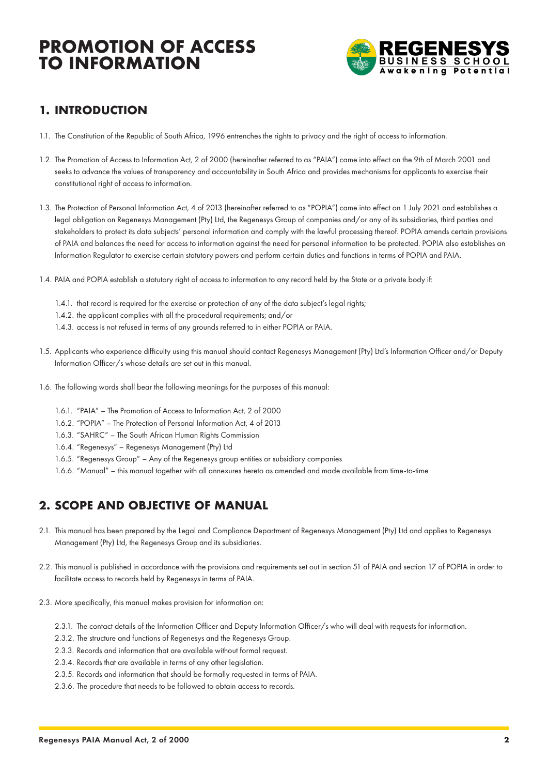

## **1. INTRODUCTION**

- 1.1. The Constitution of the Republic of South Africa, 1996 entrenches the rights to privacy and the right of access to information.
- 1.2. The Promotion of Access to Information Act, 2 of 2000 (hereinafter referred to as "PAIA") came into effect on the 9th of March 2001 and seeks to advance the values of transparency and accountability in South Africa and provides mechanisms for applicants to exercise their constitutional right of access to information.
- 1.3. The Protection of Personal Information Act, 4 of 2013 (hereinafter referred to as "POPIA") came into effect on 1 July 2021 and establishes a legal obligation on Regenesys Management (Pty) Ltd, the Regenesys Group of companies and/or any of its subsidiaries, third parties and stakeholders to protect its data subjects' personal information and comply with the lawful processing thereof. POPIA amends certain provisions of PAIA and balances the need for access to information against the need for personal information to be protected. POPIA also establishes an Information Regulator to exercise certain statutory powers and perform certain duties and functions in terms of POPIA and PAIA.
- 1.4. PAIA and POPIA establish a statutory right of access to information to any record held by the State or a private body if:
	- 1.4.1. that record is required for the exercise or protection of any of the data subject's legal rights;
	- 1.4.2. the applicant complies with all the procedural requirements; and/or
	- 1.4.3. access is not refused in terms of any grounds referred to in either POPIA or PAIA.
- 1.5. Applicants who experience difficulty using this manual should contact Regenesys Management (Pty) Ltd's Information Officer and/or Deputy Information Officer/s whose details are set out in this manual.
- 1.6. The following words shall bear the following meanings for the purposes of this manual:
	- 1.6.1. "PAIA" The Promotion of Access to Information Act, 2 of 2000
	- 1.6.2. "POPIA" The Protection of Personal Information Act, 4 of 2013
	- 1.6.3. "SAHRC" The South African Human Rights Commission
	- 1.6.4. "Regenesys" Regenesys Management (Pty) Ltd
	- 1.6.5. "Regenesys Group" Any of the Regenesys group entities or subsidiary companies
	- 1.6.6. "Manual" this manual together with all annexures hereto as amended and made available from time-to-time

## **2. SCOPE AND OBJECTIVE OF MANUAL**

- 2.1. This manual has been prepared by the Legal and Compliance Department of Regenesys Management (Pty) Ltd and applies to Regenesys Management (Pty) Ltd, the Regenesys Group and its subsidiaries.
- 2.2. This manual is published in accordance with the provisions and requirements set out in section 51 of PAIA and section 17 of POPIA in order to facilitate access to records held by Regenesys in terms of PAIA.
- 2.3. More specifically, this manual makes provision for information on:
	- 2.3.1. The contact details of the Information Officer and Deputy Information Officer/s who will deal with requests for information.
	- 2.3.2. The structure and functions of Regenesys and the Regenesys Group.
	- 2.3.3. Records and information that are available without formal request.
	- 2.3.4. Records that are available in terms of any other legislation.
	- 2.3.5. Records and information that should be formally requested in terms of PAIA.
	- 2.3.6. The procedure that needs to be followed to obtain access to records.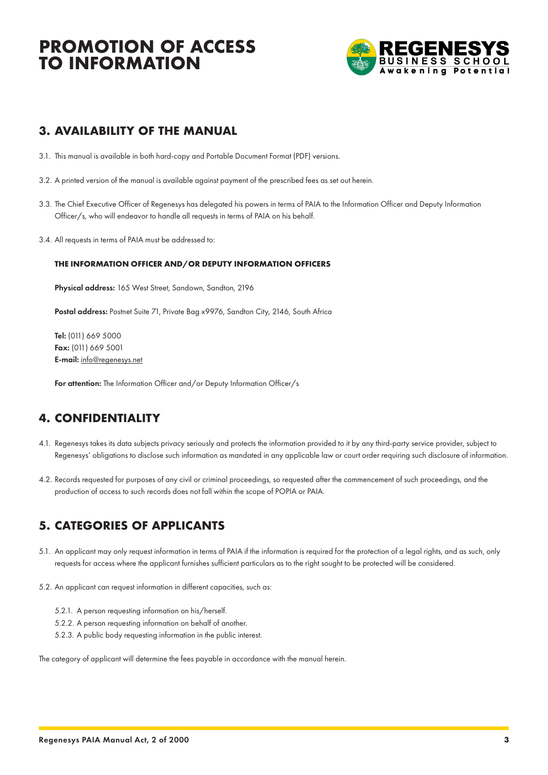

### **3. AVAILABILITY OF THE MANUAL**

- 3.1. This manual is available in both hard-copy and Portable Document Format (PDF) versions.
- 3.2. A printed version of the manual is available against payment of the prescribed fees as set out herein.
- 3.3. The Chief Executive Officer of Regenesys has delegated his powers in terms of PAIA to the Information Officer and Deputy Information Officer/s, who will endeavor to handle all requests in terms of PAIA on his behalf.
- 3.4. All requests in terms of PAIA must be addressed to:

#### **THE INFORMATION OFFICER AND/OR DEPUTY INFORMATION OFFICERS**

Physical address: 165 West Street, Sandown, Sandton, 2196

Postal address: Postnet Suite 71, Private Bag x9976, Sandton City, 2146, South Africa

Tel: (011) 669 5000 Fax: (011) 669 5001 E-mail: info@regenesys.net

For attention: The Information Officer and/or Deputy Information Officer/s

## **4. CONFIDENTIALITY**

- 4.1. Regenesys takes its data subjects privacy seriously and protects the information provided to it by any third-party service provider, subject to Regenesys' obligations to disclose such information as mandated in any applicable law or court order requiring such disclosure of information.
- 4.2. Records requested for purposes of any civil or criminal proceedings, so requested after the commencement of such proceedings, and the production of access to such records does not fall within the scope of POPIA or PAIA.

### **5. CATEGORIES OF APPLICANTS**

- 5.1. An applicant may only request information in terms of PAIA if the information is required for the protection of a legal rights, and as such, only requests for access where the applicant furnishes sufficient particulars as to the right sought to be protected will be considered.
- 5.2. An applicant can request information in different capacities, such as:
	- 5.2.1. A person requesting information on his/herself.
	- 5.2.2. A person requesting information on behalf of another.
	- 5.2.3. A public body requesting information in the public interest.

The category of applicant will determine the fees payable in accordance with the manual herein.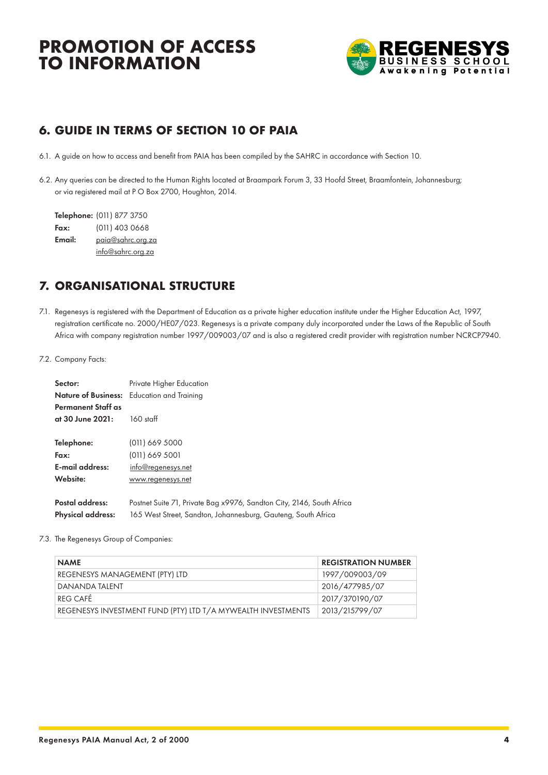

## **6. GUIDE IN TERMS OF SECTION 10 OF PAIA**

- 6.1. A guide on how to access and benefit from PAIA has been compiled by the SAHRC in accordance with Section 10.
- 6.2. Any queries can be directed to the Human Rights located at Braampark Forum 3, 33 Hoofd Street, Braamfontein, Johannesburg; or via registered mail at P O Box 2700, Houghton, 2014.

Telephone: (011) 877 3750 Fax: (011) 403 0668 Email: paia@sahrc.org.za info@sahrc.org.za

## **7. ORGANISATIONAL STRUCTURE**

- 7.1. Regenesys is registered with the Department of Education as a private higher education institute under the Higher Education Act, 1997, registration certificate no. 2000/HE07/023. Regenesys is a private company duly incorporated under the Laws of the Republic of South Africa with company registration number 1997/009003/07 and is also a registered credit provider with registration number NCRCP7940.
- 7.2. Company Facts:

| Sector:                                       | Private Higher Education<br><b>Nature of Business:</b> Education and Training |
|-----------------------------------------------|-------------------------------------------------------------------------------|
| <b>Permanent Staff as</b><br>at 30 June 2021: | $160$ staff                                                                   |
| Telephone:                                    | (011) 669 5000                                                                |
| Fax:                                          | $(011)$ 669 5001                                                              |
| E-mail address:                               | info@regenesys.net                                                            |
| Website:                                      | www.regenesys.net                                                             |
| Postal address:                               | Postnet Suite 71, Private Bag x9976, Sandton City, 2146, South Africa         |
| <b>Physical address:</b>                      | 165 West Street, Sandton, Johannesburg, Gauteng, South Africa                 |

#### 7.3. The Regenesys Group of Companies:

| <b>NAME</b>                                                  | <b>REGISTRATION NUMBER</b> |
|--------------------------------------------------------------|----------------------------|
| REGENESYS MANAGEMENT (PTY) LTD                               | 1997/009003/09             |
| DANANDA TALENT                                               | 2016/477985/07             |
| RFG CAFÉ                                                     | 2017/370190/07             |
| REGENESYS INVESTMENT FUND (PTY) LTD T/A MYWEALTH INVESTMENTS | 2013/215799/07             |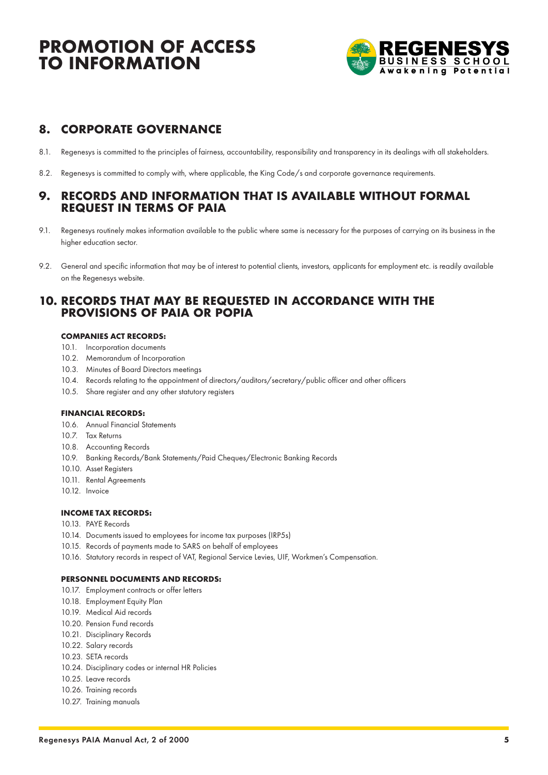

## **8. CORPORATE GOVERNANCE**

- 8.1. Regenesys is committed to the principles of fairness, accountability, responsibility and transparency in its dealings with all stakeholders.
- 8.2. Regenesys is committed to comply with, where applicable, the King Code/s and corporate governance requirements.

### **9. RECORDS AND INFORMATION THAT IS AVAILABLE WITHOUT FORMAL REQUEST IN TERMS OF PAIA**

- 9.1. Regenesys routinely makes information available to the public where same is necessary for the purposes of carrying on its business in the higher education sector.
- 9.2. General and specific information that may be of interest to potential clients, investors, applicants for employment etc. is readily available on the Regenesys website.

### **10. RECORDS THAT MAY BE REQUESTED IN ACCORDANCE WITH THE PROVISIONS OF PAIA OR POPIA**

#### **COMPANIES ACT RECORDS:**

- 10.1. Incorporation documents
- 10.2. Memorandum of Incorporation
- 10.3. Minutes of Board Directors meetings
- 10.4. Records relating to the appointment of directors/auditors/secretary/public officer and other officers
- 10.5. Share register and any other statutory registers

#### **FINANCIAL RECORDS:**

- 10.6. Annual Financial Statements
- 10.7. Tax Returns
- 10.8. Accounting Records
- 10.9. Banking Records/Bank Statements/Paid Cheques/Electronic Banking Records
- 10.10. Asset Registers
- 10.11. Rental Agreements
- 10.12. Invoice

#### **INCOME TAX RECORDS:**

- 10.13. PAYE Records
- 10.14. Documents issued to employees for income tax purposes (IRP5s)
- 10.15. Records of payments made to SARS on behalf of employees
- 10.16. Statutory records in respect of VAT, Regional Service Levies, UIF, Workmen's Compensation.

#### **PERSONNEL DOCUMENTS AND RECORDS:**

- 10.17. Employment contracts or offer letters
- 10.18. Employment Equity Plan
- 10.19. Medical Aid records
- 10.20. Pension Fund records
- 10.21. Disciplinary Records
- 10.22. Salary records
- 10.23. SETA records
- 10.24. Disciplinary codes or internal HR Policies
- 10.25. Leave records
- 10.26. Training records
- 10.27. Training manuals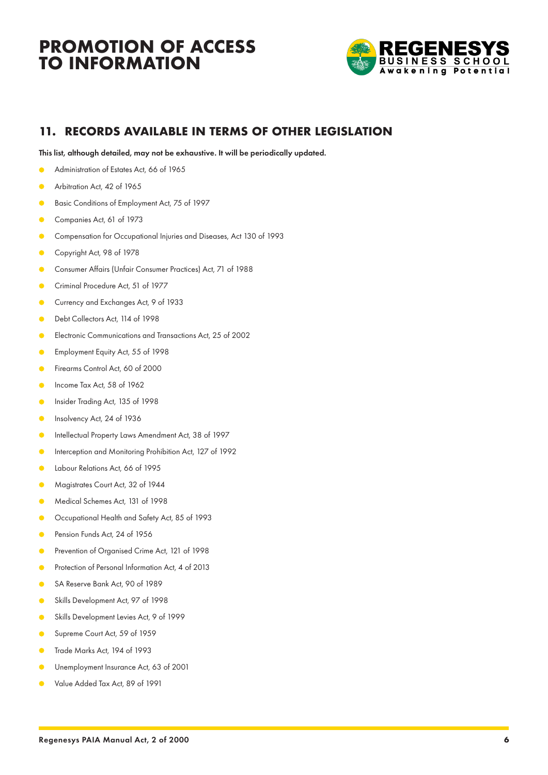

## **11. RECORDS AVAILABLE IN TERMS OF OTHER LEGISLATION**

This list, although detailed, may not be exhaustive. It will be periodically updated.

- Administration of Estates Act, 66 of 1965
- Arbitration Act, 42 of 1965
- Basic Conditions of Employment Act, 75 of 1997  $\bullet$
- $\bullet$ Companies Act, 61 of 1973
- Compensation for Occupational Injuries and Diseases, Act 130 of 1993  $\bullet$
- Copyright Act, 98 of 1978  $\bullet$
- Consumer Affairs (Unfair Consumer Practices) Act, 71 of 1988  $\bullet$
- Criminal Procedure Act, 51 of 1977  $\bullet$
- $\bullet$ Currency and Exchanges Act, 9 of 1933
- Debt Collectors Act, 114 of 1998  $\bullet$
- $\bullet$ Electronic Communications and Transactions Act, 25 of 2002
- Employment Equity Act, 55 of 1998  $\bullet$
- Firearms Control Act, 60 of 2000  $\bullet$
- $\bullet$ Income Tax Act, 58 of 1962
- Insider Trading Act, 135 of 1998  $\bullet$
- Insolvency Act, 24 of 1936  $\bullet$
- Intellectual Property Laws Amendment Act, 38 of 1997  $\sqrt{2}$
- Interception and Monitoring Prohibition Act, 127 of 1992  $\sqrt{2}$
- $\bullet$ Labour Relations Act, 66 of 1995
- Magistrates Court Act, 32 of 1944  $\bullet$
- Medical Schemes Act, 131 of 1998
- Occupational Health and Safety Act, 85 of 1993  $\bullet$
- Pension Funds Act, 24 of 1956  $\bullet$
- Prevention of Organised Crime Act, 121 of 1998  $\bullet$
- $\bullet$ Protection of Personal Information Act, 4 of 2013
- SA Reserve Bank Act, 90 of 1989 ó
- Skills Development Act, 97 of 1998  $\bullet$
- Skills Development Levies Act, 9 of 1999  $\bullet$
- Supreme Court Act, 59 of 1959  $\bullet$
- Trade Marks Act, 194 of 1993  $\bullet$
- Unemployment Insurance Act, 63 of 2001
- Value Added Tax Act, 89 of 1991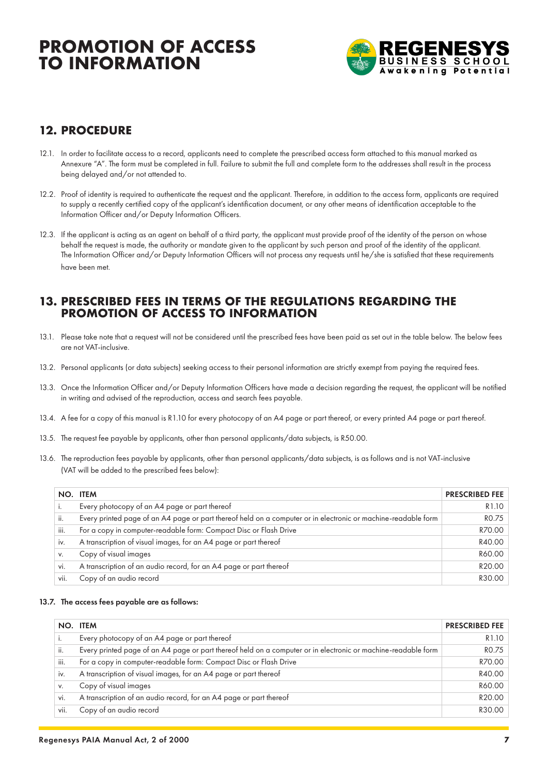

## **12. PROCEDURE**

- 12.1. In order to facilitate access to a record, applicants need to complete the prescribed access form attached to this manual marked as Annexure "A". The form must be completed in full. Failure to submit the full and complete form to the addresses shall result in the process being delayed and/or not attended to.
- 12.2. Proof of identity is required to authenticate the request and the applicant. Therefore, in addition to the access form, applicants are required to supply a recently certified copy of the applicant's identification document, or any other means of identification acceptable to the Information Officer and/or Deputy Information Officers.
- 12.3. If the applicant is acting as an agent on behalf of a third party, the applicant must provide proof of the identity of the person on whose behalf the request is made, the authority or mandate given to the applicant by such person and proof of the identity of the applicant. The Information Officer and/or Deputy Information Officers will not process any requests until he/she is satisfied that these requirements have been met.

### **13. PRESCRIBED FEES IN TERMS OF THE REGULATIONS REGARDING THE PROMOTION OF ACCESS TO INFORMATION**

- 13.1. Please take note that a request will not be considered until the prescribed fees have been paid as set out in the table below. The below fees are not VAT-inclusive.
- 13.2. Personal applicants (or data subjects) seeking access to their personal information are strictly exempt from paying the required fees.
- 13.3. Once the Information Officer and/or Deputy Information Officers have made a decision regarding the request, the applicant will be notified in writing and advised of the reproduction, access and search fees payable.
- 13.4. A fee for a copy of this manual is R1.10 for every photocopy of an A4 page or part thereof, or every printed A4 page or part thereof.
- 13.5. The request fee payable by applicants, other than personal applicants/data subjects, is R50.00.
- 13.6. The reproduction fees payable by applicants, other than personal applicants/data subjects, is as follows and is not VAT-inclusive (VAT will be added to the prescribed fees below):

|      | NO. ITEM                                                                                                      | <b>PRESCRIBED FEE</b> |
|------|---------------------------------------------------------------------------------------------------------------|-----------------------|
|      | Every photocopy of an A4 page or part thereof                                                                 | R <sub>1.10</sub>     |
| ii.  | Every printed page of an A4 page or part thereof held on a computer or in electronic or machine-readable form | RO.75                 |
| iii. | For a copy in computer-readable form: Compact Disc or Flash Drive                                             | R70.00                |
| IV.  | A transcription of visual images, for an A4 page or part thereof                                              | R40.00                |
| V.   | Copy of visual images                                                                                         | R60.00                |
| vi.  | A transcription of an audio record, for an A4 page or part thereof                                            | R20.00                |
| vii. | Copy of an audio record                                                                                       | R30.00                |

#### 13.7. The access fees payable are as follows:

|      | NO. ITEM                                                                                                      | <b>PRESCRIBED FEE</b> |
|------|---------------------------------------------------------------------------------------------------------------|-----------------------|
|      | Every photocopy of an A4 page or part thereof                                                                 | R1.10                 |
| ii.  | Every printed page of an A4 page or part thereof held on a computer or in electronic or machine-readable form | RO.75                 |
| iii. | For a copy in computer-readable form: Compact Disc or Flash Drive                                             | R70.00                |
| IV.  | A transcription of visual images, for an A4 page or part thereof                                              | R40.00                |
| V.   | Copy of visual images                                                                                         | R60.00                |
| vi.  | A transcription of an audio record, for an A4 page or part thereof                                            | R20.00                |
| vii. | Copy of an audio record                                                                                       | R30.00                |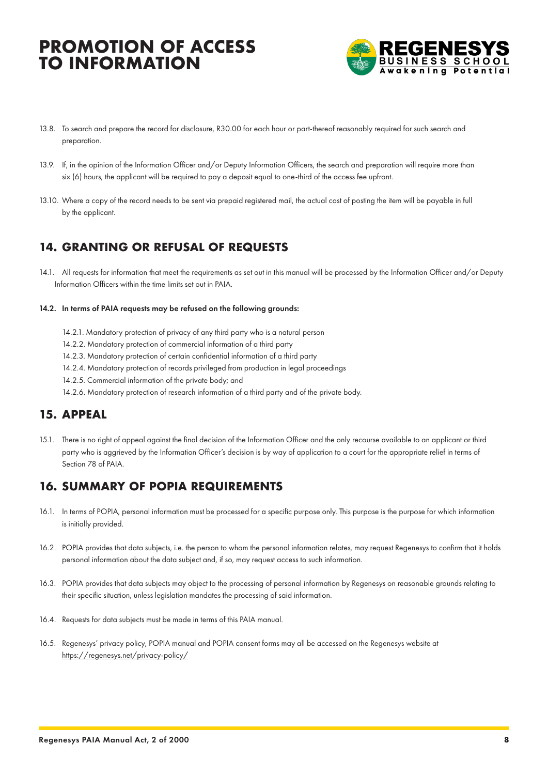

- 13.8. To search and prepare the record for disclosure, R30.00 for each hour or part-thereof reasonably required for such search and preparation.
- 13.9. If, in the opinion of the Information Officer and/or Deputy Information Officers, the search and preparation will require more than six (6) hours, the applicant will be required to pay a deposit equal to one-third of the access fee upfront.
- 13.10. Where a copy of the record needs to be sent via prepaid registered mail, the actual cost of posting the item will be payable in full by the applicant.

### **14. GRANTING OR REFUSAL OF REQUESTS**

- 14.1. All requests for information that meet the requirements as set out in this manual will be processed by the Information Officer and/or Deputy Information Officers within the time limits set out in PAIA.
- 14.2. In terms of PAIA requests may be refused on the following grounds:
	- 14.2.1. Mandatory protection of privacy of any third party who is a natural person
	- 14.2.2. Mandatory protection of commercial information of a third party
	- 14.2.3. Mandatory protection of certain confidential information of a third party
	- 14.2.4. Mandatory protection of records privileged from production in legal proceedings
	- 14.2.5. Commercial information of the private body; and
	- 14.2.6. Mandatory protection of research information of a third party and of the private body.

### **15. APPEAL**

15.1. There is no right of appeal against the final decision of the Information Officer and the only recourse available to an applicant or third party who is aggrieved by the Information Officer's decision is by way of application to a court for the appropriate relief in terms of Section 78 of PAIA.

## **16. SUMMARY OF POPIA REQUIREMENTS**

- 16.1. In terms of POPIA, personal information must be processed for a specific purpose only. This purpose is the purpose for which information is initially provided.
- 16.2. POPIA provides that data subjects, i.e. the person to whom the personal information relates, may request Regenesys to confirm that it holds personal information about the data subject and, if so, may request access to such information.
- 16.3. POPIA provides that data subjects may object to the processing of personal information by Regenesys on reasonable grounds relating to their specific situation, unless legislation mandates the processing of said information.
- 16.4. Requests for data subjects must be made in terms of this PAIA manual.
- 16.5. Regenesys' privacy policy, POPIA manual and POPIA consent forms may all be accessed on the Regenesys website at https://regenesys.net/privacy-policy/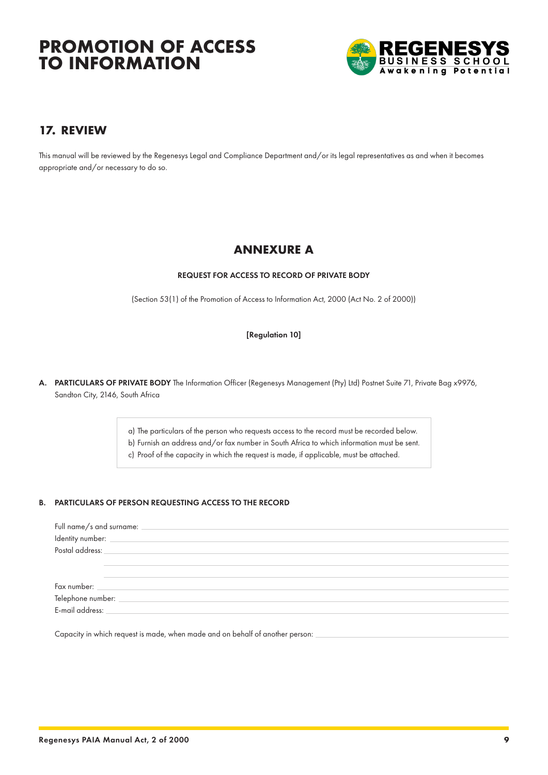

## **17. REVIEW**

This manual will be reviewed by the Regenesys Legal and Compliance Department and/or its legal representatives as and when it becomes appropriate and/or necessary to do so.

### **ANNEXURE A**

#### REQUEST FOR ACCESS TO RECORD OF PRIVATE BODY

(Section 53(1) of the Promotion of Access to Information Act, 2000 (Act No. 2 of 2000))

#### [Regulation 10]

A. PARTICULARS OF PRIVATE BODY The Information Officer (Regenesys Management (Pty) Ltd) Postnet Suite 71, Private Bag x9976, Sandton City, 2146, South Africa

a) The particulars of the person who requests access to the record must be recorded below.

b) Furnish an address and/or fax number in South Africa to which information must be sent.

c) Proof of the capacity in which the request is made, if applicable, must be attached.

#### B. PARTICULARS OF PERSON REQUESTING ACCESS TO THE RECORD

| Full name/s and surname:            |  |
|-------------------------------------|--|
| Identity number:<br>Postal address: |  |
|                                     |  |
|                                     |  |
|                                     |  |
| Fax number: _________               |  |
| Telephone number: _                 |  |
| E-mail address:                     |  |

Capacity in which request is made, when made and on behalf of another person: